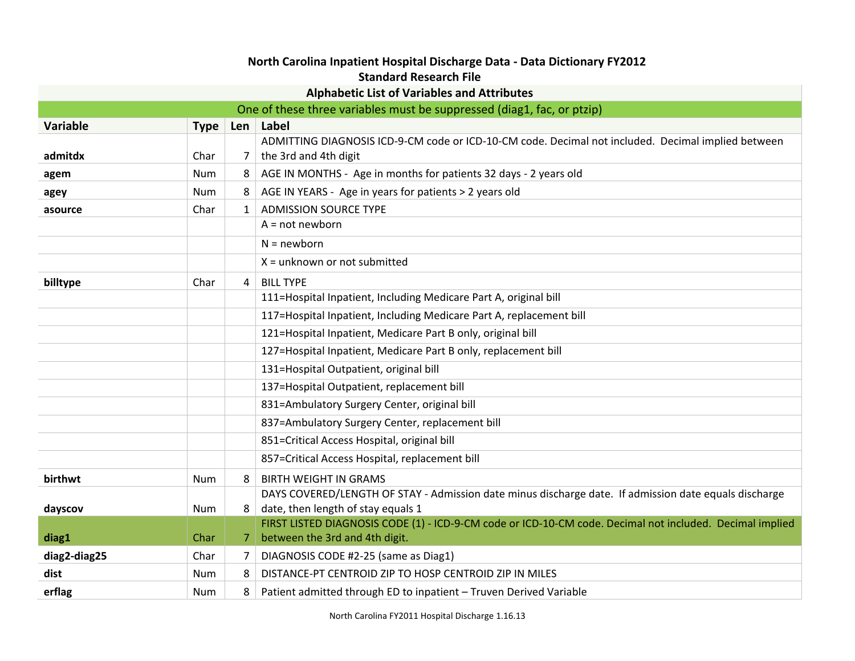## **North Carolina Inpatient Hospital Discharge Data - Data Dictionary FY2012 Standard Research File**

| stanuaru Research File                                                 |             |                |                                                                                                          |
|------------------------------------------------------------------------|-------------|----------------|----------------------------------------------------------------------------------------------------------|
| <b>Alphabetic List of Variables and Attributes</b>                     |             |                |                                                                                                          |
| One of these three variables must be suppressed (diag1, fac, or ptzip) |             |                |                                                                                                          |
| Variable                                                               | <b>Type</b> |                | Len   Label                                                                                              |
|                                                                        |             |                | ADMITTING DIAGNOSIS ICD-9-CM code or ICD-10-CM code. Decimal not included. Decimal implied between       |
| admitdx                                                                | Char        | 7 <sup>1</sup> | the 3rd and 4th digit                                                                                    |
| agem                                                                   | <b>Num</b>  | 8              | AGE IN MONTHS - Age in months for patients 32 days - 2 years old                                         |
| agey                                                                   | <b>Num</b>  | 8              | AGE IN YEARS - Age in years for patients > 2 years old                                                   |
| asource                                                                | Char        | $\mathbf{1}$   | <b>ADMISSION SOURCE TYPE</b>                                                                             |
|                                                                        |             |                | $A = not newborn$                                                                                        |
|                                                                        |             |                | $N = newborn$                                                                                            |
|                                                                        |             |                | $X =$ unknown or not submitted                                                                           |
| billtype                                                               | Char        | 4              | <b>BILL TYPE</b>                                                                                         |
|                                                                        |             |                | 111=Hospital Inpatient, Including Medicare Part A, original bill                                         |
|                                                                        |             |                | 117=Hospital Inpatient, Including Medicare Part A, replacement bill                                      |
|                                                                        |             |                | 121=Hospital Inpatient, Medicare Part B only, original bill                                              |
|                                                                        |             |                | 127=Hospital Inpatient, Medicare Part B only, replacement bill                                           |
|                                                                        |             |                | 131=Hospital Outpatient, original bill                                                                   |
|                                                                        |             |                | 137=Hospital Outpatient, replacement bill                                                                |
|                                                                        |             |                | 831=Ambulatory Surgery Center, original bill                                                             |
|                                                                        |             |                | 837=Ambulatory Surgery Center, replacement bill                                                          |
|                                                                        |             |                | 851=Critical Access Hospital, original bill                                                              |
|                                                                        |             |                | 857=Critical Access Hospital, replacement bill                                                           |
| birthwt                                                                | <b>Num</b>  | 8              | <b>BIRTH WEIGHT IN GRAMS</b>                                                                             |
|                                                                        |             |                | DAYS COVERED/LENGTH OF STAY - Admission date minus discharge date. If admission date equals discharge    |
| dayscov                                                                | Num         | 8              | date, then length of stay equals 1                                                                       |
|                                                                        |             |                | FIRST LISTED DIAGNOSIS CODE (1) - ICD-9-CM code or ICD-10-CM code. Decimal not included. Decimal implied |
| diag1                                                                  | Char        | 7              | between the 3rd and 4th digit.                                                                           |
| diag2-diag25                                                           | Char        | 7              | DIAGNOSIS CODE #2-25 (same as Diag1)                                                                     |
| dist                                                                   | <b>Num</b>  | 8              | DISTANCE-PT CENTROID ZIP TO HOSP CENTROID ZIP IN MILES                                                   |
| erflag                                                                 | Num         | 8              | Patient admitted through ED to inpatient - Truven Derived Variable                                       |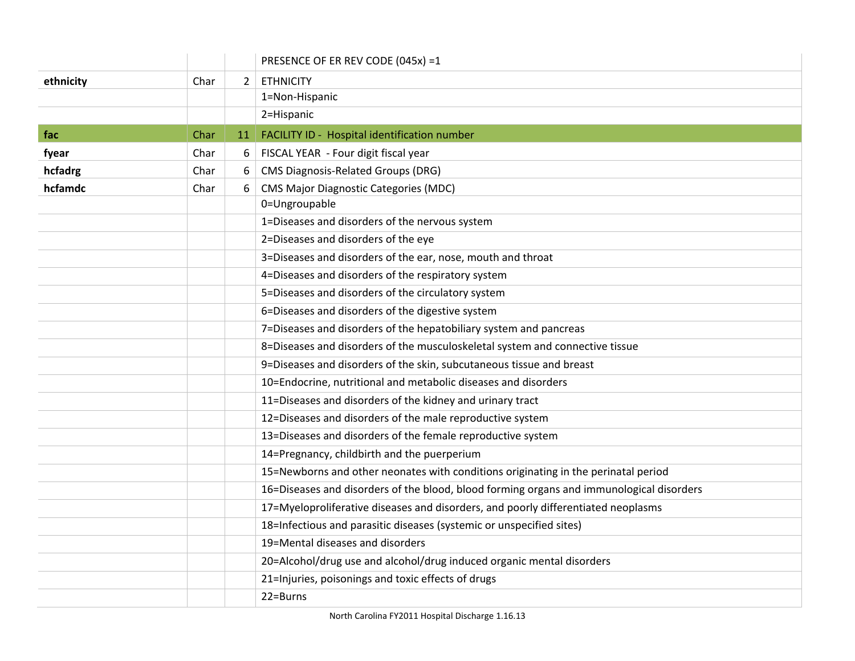|           |      |                | PRESENCE OF ER REV CODE (045x) =1                                                        |
|-----------|------|----------------|------------------------------------------------------------------------------------------|
| ethnicity | Char | $\overline{2}$ | <b>ETHNICITY</b>                                                                         |
|           |      |                | 1=Non-Hispanic                                                                           |
|           |      |                | 2=Hispanic                                                                               |
| fac       | Char | 11             | FACILITY ID - Hospital identification number                                             |
| fyear     | Char | 6              | FISCAL YEAR - Four digit fiscal year                                                     |
| hcfadrg   | Char | 6              | <b>CMS Diagnosis-Related Groups (DRG)</b>                                                |
| hcfamdc   | Char | 6              | <b>CMS Major Diagnostic Categories (MDC)</b>                                             |
|           |      |                | 0=Ungroupable                                                                            |
|           |      |                | 1=Diseases and disorders of the nervous system                                           |
|           |      |                | 2=Diseases and disorders of the eye                                                      |
|           |      |                | 3=Diseases and disorders of the ear, nose, mouth and throat                              |
|           |      |                | 4=Diseases and disorders of the respiratory system                                       |
|           |      |                | 5=Diseases and disorders of the circulatory system                                       |
|           |      |                | 6=Diseases and disorders of the digestive system                                         |
|           |      |                | 7=Diseases and disorders of the hepatobiliary system and pancreas                        |
|           |      |                | 8=Diseases and disorders of the musculoskeletal system and connective tissue             |
|           |      |                | 9=Diseases and disorders of the skin, subcutaneous tissue and breast                     |
|           |      |                | 10=Endocrine, nutritional and metabolic diseases and disorders                           |
|           |      |                | 11=Diseases and disorders of the kidney and urinary tract                                |
|           |      |                | 12=Diseases and disorders of the male reproductive system                                |
|           |      |                | 13=Diseases and disorders of the female reproductive system                              |
|           |      |                | 14=Pregnancy, childbirth and the puerperium                                              |
|           |      |                | 15=Newborns and other neonates with conditions originating in the perinatal period       |
|           |      |                | 16=Diseases and disorders of the blood, blood forming organs and immunological disorders |
|           |      |                | 17=Myeloproliferative diseases and disorders, and poorly differentiated neoplasms        |
|           |      |                | 18=Infectious and parasitic diseases (systemic or unspecified sites)                     |
|           |      |                | 19=Mental diseases and disorders                                                         |
|           |      |                | 20=Alcohol/drug use and alcohol/drug induced organic mental disorders                    |
|           |      |                | 21=Injuries, poisonings and toxic effects of drugs                                       |
|           |      |                | 22=Burns                                                                                 |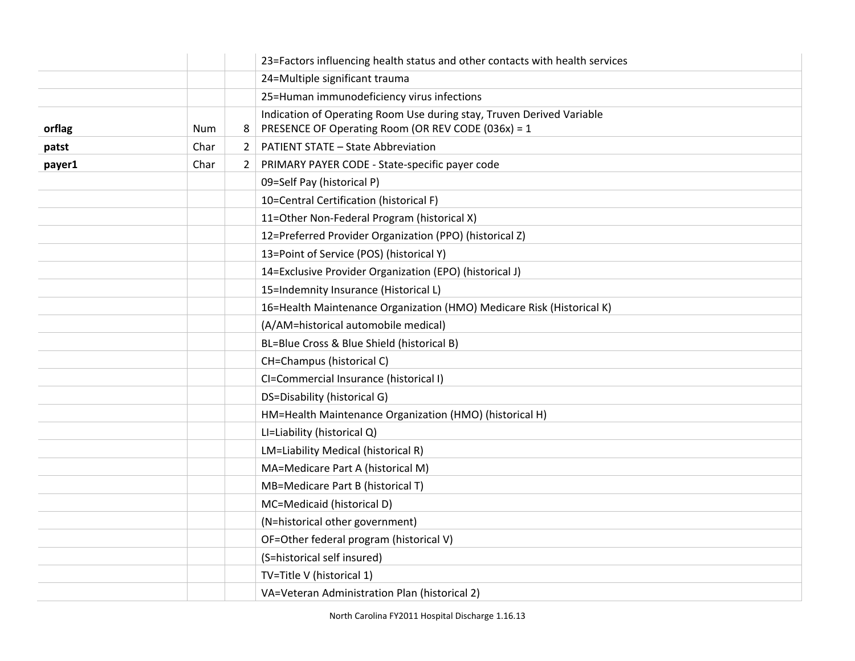|        |      |                | 23=Factors influencing health status and other contacts with health services                                                |
|--------|------|----------------|-----------------------------------------------------------------------------------------------------------------------------|
|        |      |                | 24=Multiple significant trauma                                                                                              |
|        |      |                | 25=Human immunodeficiency virus infections                                                                                  |
| orflag | Num  | 8              | Indication of Operating Room Use during stay, Truven Derived Variable<br>PRESENCE OF Operating Room (OR REV CODE (036x) = 1 |
| patst  | Char | $\overline{2}$ | <b>PATIENT STATE - State Abbreviation</b>                                                                                   |
| payer1 | Char | $\overline{2}$ | PRIMARY PAYER CODE - State-specific payer code                                                                              |
|        |      |                | 09=Self Pay (historical P)                                                                                                  |
|        |      |                | 10=Central Certification (historical F)                                                                                     |
|        |      |                | 11=Other Non-Federal Program (historical X)                                                                                 |
|        |      |                | 12=Preferred Provider Organization (PPO) (historical Z)                                                                     |
|        |      |                | 13=Point of Service (POS) (historical Y)                                                                                    |
|        |      |                | 14=Exclusive Provider Organization (EPO) (historical J)                                                                     |
|        |      |                | 15=Indemnity Insurance (Historical L)                                                                                       |
|        |      |                | 16=Health Maintenance Organization (HMO) Medicare Risk (Historical K)                                                       |
|        |      |                | (A/AM=historical automobile medical)                                                                                        |
|        |      |                | BL=Blue Cross & Blue Shield (historical B)                                                                                  |
|        |      |                | CH=Champus (historical C)                                                                                                   |
|        |      |                | CI=Commercial Insurance (historical I)                                                                                      |
|        |      |                | DS=Disability (historical G)                                                                                                |
|        |      |                | HM=Health Maintenance Organization (HMO) (historical H)                                                                     |
|        |      |                | LI=Liability (historical Q)                                                                                                 |
|        |      |                | LM=Liability Medical (historical R)                                                                                         |
|        |      |                | MA=Medicare Part A (historical M)                                                                                           |
|        |      |                | MB=Medicare Part B (historical T)                                                                                           |
|        |      |                | MC=Medicaid (historical D)                                                                                                  |
|        |      |                | (N=historical other government)                                                                                             |
|        |      |                | OF=Other federal program (historical V)                                                                                     |
|        |      |                | (S=historical self insured)                                                                                                 |
|        |      |                | TV=Title V (historical 1)                                                                                                   |
|        |      |                | VA=Veteran Administration Plan (historical 2)                                                                               |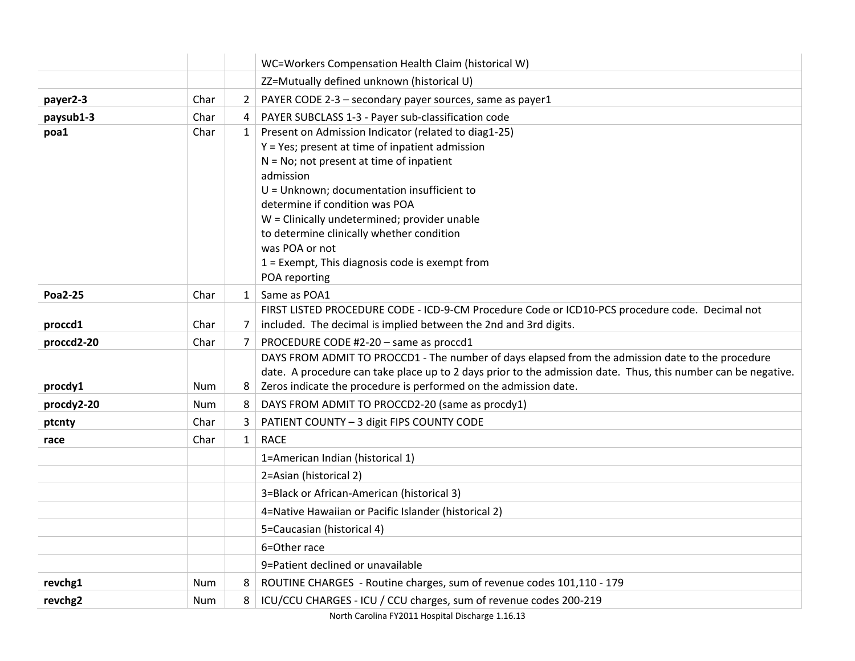|            |            |                | WC=Workers Compensation Health Claim (historical W)                                                           |
|------------|------------|----------------|---------------------------------------------------------------------------------------------------------------|
|            |            |                | ZZ=Mutually defined unknown (historical U)                                                                    |
| payer2-3   | Char       | $\overline{2}$ | PAYER CODE 2-3 - secondary payer sources, same as payer1                                                      |
| paysub1-3  | Char       | 4              | PAYER SUBCLASS 1-3 - Payer sub-classification code                                                            |
| poa1       | Char       | $\mathbf{1}$   | Present on Admission Indicator (related to diag1-25)                                                          |
|            |            |                | Y = Yes; present at time of inpatient admission                                                               |
|            |            |                | $N = No$ ; not present at time of inpatient                                                                   |
|            |            |                | admission                                                                                                     |
|            |            |                | U = Unknown; documentation insufficient to                                                                    |
|            |            |                | determine if condition was POA                                                                                |
|            |            |                | W = Clinically undetermined; provider unable                                                                  |
|            |            |                | to determine clinically whether condition                                                                     |
|            |            |                | was POA or not                                                                                                |
|            |            |                | 1 = Exempt, This diagnosis code is exempt from                                                                |
|            |            |                | POA reporting                                                                                                 |
| Poa2-25    | Char       | $\mathbf{1}$   | Same as POA1                                                                                                  |
|            |            |                | FIRST LISTED PROCEDURE CODE - ICD-9-CM Procedure Code or ICD10-PCS procedure code. Decimal not                |
| proccd1    | Char       | 7              | included. The decimal is implied between the 2nd and 3rd digits.                                              |
| proccd2-20 | Char       | 7              | PROCEDURE CODE #2-20 - same as proccd1                                                                        |
|            |            |                | DAYS FROM ADMIT TO PROCCD1 - The number of days elapsed from the admission date to the procedure              |
|            |            |                | date. A procedure can take place up to 2 days prior to the admission date. Thus, this number can be negative. |
| procdy1    | Num        | 8              | Zeros indicate the procedure is performed on the admission date.                                              |
| procdy2-20 | <b>Num</b> | 8              | DAYS FROM ADMIT TO PROCCD2-20 (same as procdy1)                                                               |
| ptcnty     | Char       | 3              | PATIENT COUNTY - 3 digit FIPS COUNTY CODE                                                                     |
| race       | Char       | $\mathbf{1}$   | <b>RACE</b>                                                                                                   |
|            |            |                | 1=American Indian (historical 1)                                                                              |
|            |            |                | 2=Asian (historical 2)                                                                                        |
|            |            |                | 3=Black or African-American (historical 3)                                                                    |
|            |            |                | 4=Native Hawaiian or Pacific Islander (historical 2)                                                          |
|            |            |                | 5=Caucasian (historical 4)                                                                                    |
|            |            |                | 6=Other race                                                                                                  |
|            |            |                | 9=Patient declined or unavailable                                                                             |
| revchg1    | Num        | 8              | ROUTINE CHARGES - Routine charges, sum of revenue codes 101,110 - 179                                         |
| revchg2    | Num        | 8              | ICU/CCU CHARGES - ICU / CCU charges, sum of revenue codes 200-219                                             |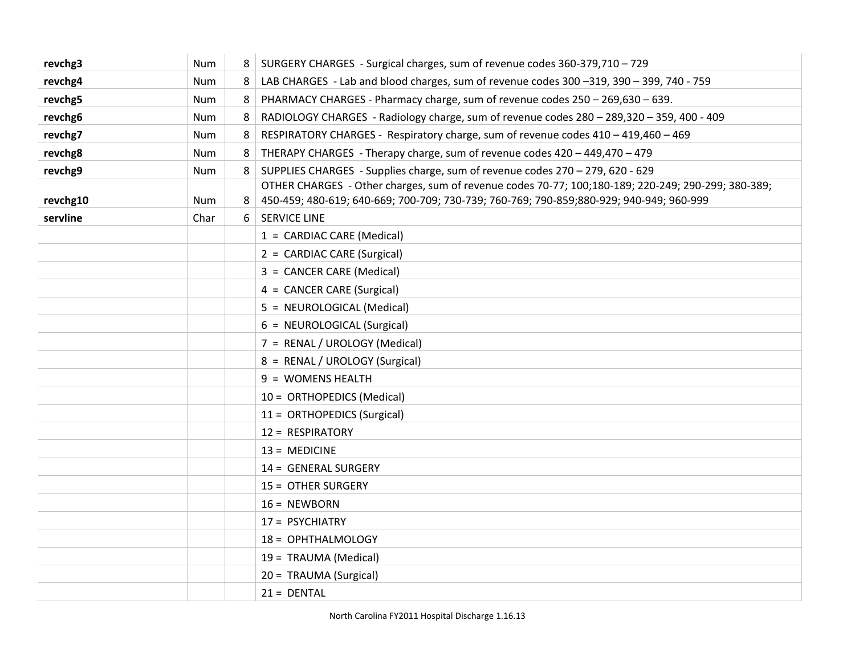| revchg3  | Num        | 8 | SURGERY CHARGES - Surgical charges, sum of revenue codes 360-379,710 - 729                                                                                                                     |
|----------|------------|---|------------------------------------------------------------------------------------------------------------------------------------------------------------------------------------------------|
| revchg4  | Num        | 8 | LAB CHARGES - Lab and blood charges, sum of revenue codes 300 -319, 390 - 399, 740 - 759                                                                                                       |
| revchg5  | Num        | 8 | PHARMACY CHARGES - Pharmacy charge, sum of revenue codes 250 - 269,630 - 639.                                                                                                                  |
| revchg6  | Num        | 8 | RADIOLOGY CHARGES - Radiology charge, sum of revenue codes 280 - 289,320 - 359, 400 - 409                                                                                                      |
| revchg7  | <b>Num</b> | 8 | RESPIRATORY CHARGES - Respiratory charge, sum of revenue codes 410 - 419,460 - 469                                                                                                             |
| revchg8  | Num        | 8 | THERAPY CHARGES - Therapy charge, sum of revenue codes 420 - 449,470 - 479                                                                                                                     |
| revchg9  | Num        | 8 | SUPPLIES CHARGES - Supplies charge, sum of revenue codes 270 - 279, 620 - 629                                                                                                                  |
| revchg10 | Num        |   | OTHER CHARGES - Other charges, sum of revenue codes 70-77; 100;180-189; 220-249; 290-299; 380-389;<br>450-459; 480-619; 640-669; 700-709; 730-739; 760-769; 790-859; 880-929; 940-949; 960-999 |
| servline | Char       | 6 | <b>SERVICE LINE</b>                                                                                                                                                                            |
|          |            |   | 1 = CARDIAC CARE (Medical)                                                                                                                                                                     |
|          |            |   | 2 = CARDIAC CARE (Surgical)                                                                                                                                                                    |
|          |            |   | 3 = CANCER CARE (Medical)                                                                                                                                                                      |
|          |            |   | 4 = CANCER CARE (Surgical)                                                                                                                                                                     |
|          |            |   | 5 = NEUROLOGICAL (Medical)                                                                                                                                                                     |
|          |            |   | 6 = NEUROLOGICAL (Surgical)                                                                                                                                                                    |
|          |            |   | 7 = RENAL / UROLOGY (Medical)                                                                                                                                                                  |
|          |            |   | 8 = RENAL / UROLOGY (Surgical)                                                                                                                                                                 |
|          |            |   | 9 = WOMENS HEALTH                                                                                                                                                                              |
|          |            |   | 10 = ORTHOPEDICS (Medical)                                                                                                                                                                     |
|          |            |   | 11 = ORTHOPEDICS (Surgical)                                                                                                                                                                    |
|          |            |   | 12 = RESPIRATORY                                                                                                                                                                               |
|          |            |   | $13 = MEDICINE$                                                                                                                                                                                |
|          |            |   | 14 = GENERAL SURGERY                                                                                                                                                                           |
|          |            |   | 15 = OTHER SURGERY                                                                                                                                                                             |
|          |            |   | $16 = NEWBORN$                                                                                                                                                                                 |
|          |            |   | 17 = PSYCHIATRY                                                                                                                                                                                |
|          |            |   | 18 = OPHTHALMOLOGY                                                                                                                                                                             |
|          |            |   | 19 = TRAUMA (Medical)                                                                                                                                                                          |
|          |            |   | 20 = TRAUMA (Surgical)                                                                                                                                                                         |
|          |            |   | $21 = DENTAL$                                                                                                                                                                                  |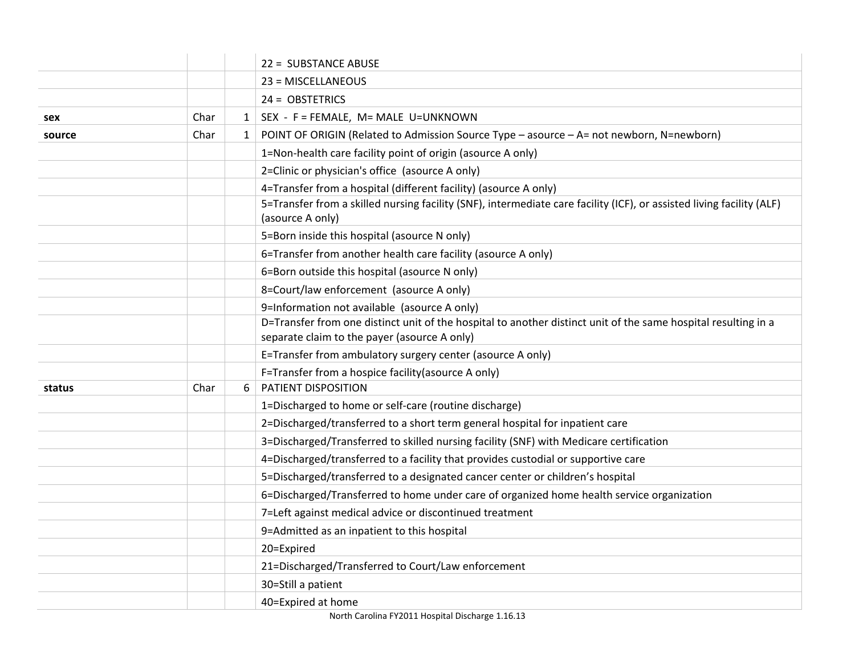|        |      |              | 22 = SUBSTANCE ABUSE                                                                                                                                           |
|--------|------|--------------|----------------------------------------------------------------------------------------------------------------------------------------------------------------|
|        |      |              | 23 = MISCELLANEOUS                                                                                                                                             |
|        |      |              | $24 = OBSTETRICS$                                                                                                                                              |
| sex    | Char |              | $1$   SEX - F = FEMALE, M= MALE U=UNKNOWN                                                                                                                      |
| source | Char | $\mathbf{1}$ | POINT OF ORIGIN (Related to Admission Source Type - asource - A= not newborn, N=newborn)                                                                       |
|        |      |              | 1=Non-health care facility point of origin (asource A only)                                                                                                    |
|        |      |              | 2=Clinic or physician's office (asource A only)                                                                                                                |
|        |      |              | 4=Transfer from a hospital (different facility) (asource A only)                                                                                               |
|        |      |              | 5=Transfer from a skilled nursing facility (SNF), intermediate care facility (ICF), or assisted living facility (ALF)<br>(asource A only)                      |
|        |      |              | 5=Born inside this hospital (asource N only)                                                                                                                   |
|        |      |              | 6=Transfer from another health care facility (asource A only)                                                                                                  |
|        |      |              | 6=Born outside this hospital (asource N only)                                                                                                                  |
|        |      |              | 8=Court/law enforcement (asource A only)                                                                                                                       |
|        |      |              | 9=Information not available (asource A only)                                                                                                                   |
|        |      |              | D=Transfer from one distinct unit of the hospital to another distinct unit of the same hospital resulting in a<br>separate claim to the payer (asource A only) |
|        |      |              | E=Transfer from ambulatory surgery center (asource A only)                                                                                                     |
|        |      |              | F=Transfer from a hospice facility(asource A only)                                                                                                             |
| status | Char | 6            | PATIENT DISPOSITION                                                                                                                                            |
|        |      |              | 1=Discharged to home or self-care (routine discharge)                                                                                                          |
|        |      |              | 2=Discharged/transferred to a short term general hospital for inpatient care                                                                                   |
|        |      |              | 3=Discharged/Transferred to skilled nursing facility (SNF) with Medicare certification                                                                         |
|        |      |              | 4=Discharged/transferred to a facility that provides custodial or supportive care                                                                              |
|        |      |              | 5=Discharged/transferred to a designated cancer center or children's hospital                                                                                  |
|        |      |              | 6=Discharged/Transferred to home under care of organized home health service organization                                                                      |
|        |      |              | 7=Left against medical advice or discontinued treatment                                                                                                        |
|        |      |              | 9=Admitted as an inpatient to this hospital                                                                                                                    |
|        |      |              | 20=Expired                                                                                                                                                     |
|        |      |              | 21=Discharged/Transferred to Court/Law enforcement                                                                                                             |
|        |      |              | 30=Still a patient                                                                                                                                             |
|        |      |              | 40=Expired at home                                                                                                                                             |